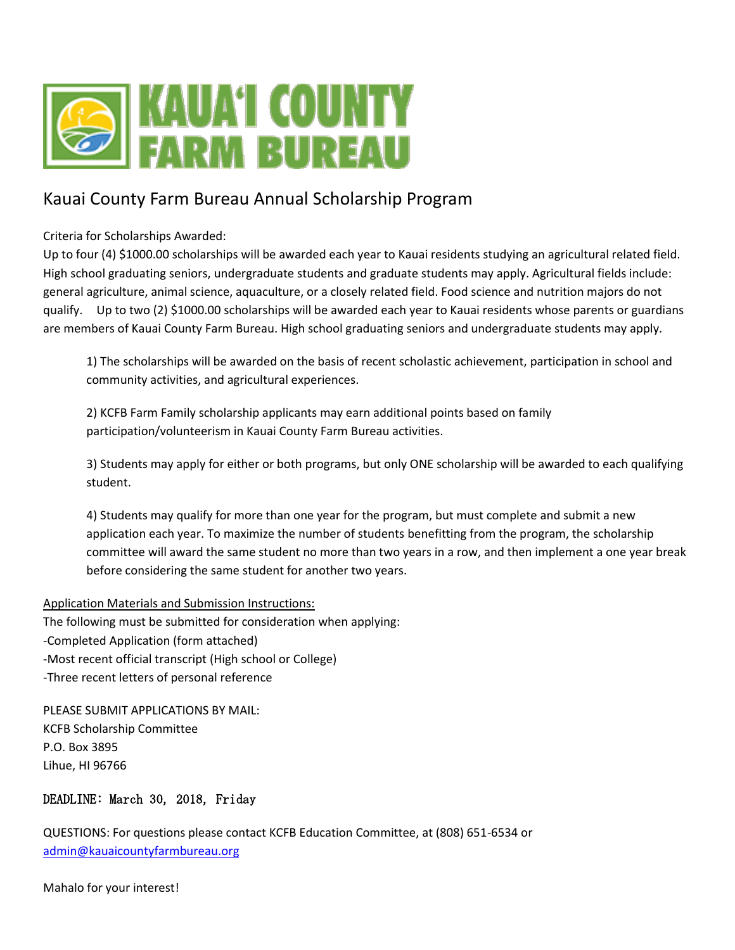

## Kauai County Farm Bureau Annual Scholarship Program

Criteria for Scholarships Awarded:

Up to four (4) \$1000.00 scholarships will be awarded each year to Kauai residents studying an agricultural related field. High school graduating seniors, undergraduate students and graduate students may apply. Agricultural fields include: general agriculture, animal science, aquaculture, or a closely related field. Food science and nutrition majors do not qualify. Up to two (2) \$1000.00 scholarships will be awarded each year to Kauai residents whose parents or guardians are members of Kauai County Farm Bureau. High school graduating seniors and undergraduate students may apply.

1) The scholarships will be awarded on the basis of recent scholastic achievement, participation in school and community activities, and agricultural experiences.

2) KCFB Farm Family scholarship applicants may earn additional points based on family participation/volunteerism in Kauai County Farm Bureau activities.

3) Students may apply for either or both programs, but only ONE scholarship will be awarded to each qualifying student.

4) Students may qualify for more than one year for the program, but must complete and submit a new application each year. To maximize the number of students benefitting from the program, the scholarship committee will award the same student no more than two years in a row, and then implement a one year break before considering the same student for another two years.

#### Application Materials and Submission Instructions:

The following must be submitted for consideration when applying: -Completed Application (form attached) -Most recent official transcript (High school or College) -Three recent letters of personal reference

PLEASE SUBMIT APPLICATIONS BY MAIL: KCFB Scholarship Committee P.O. Box 3895 Lihue, HI 96766

#### DEADLINE: March 30, 2018, Friday

QUESTIONS: For questions please contact KCFB Education Committee, at (808) 651-6534 or [admin@kauaicountyfarmbureau.org](mailto:admin@kauaicountyfarmbureau.org)

Mahalo for your interest!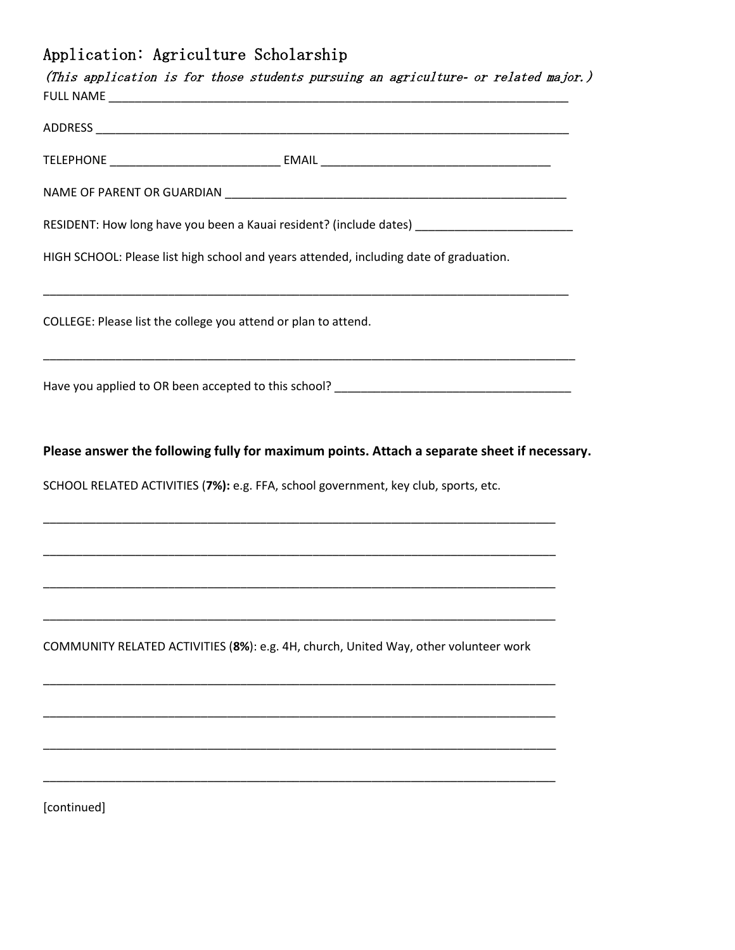# Application: Agriculture Scholarship

| RESIDENT: How long have you been a Kauai resident? (include dates) _____________________    |
|---------------------------------------------------------------------------------------------|
| HIGH SCHOOL: Please list high school and years attended, including date of graduation.      |
| COLLEGE: Please list the college you attend or plan to attend.                              |
|                                                                                             |
|                                                                                             |
| Please answer the following fully for maximum points. Attach a separate sheet if necessary. |
| SCHOOL RELATED ACTIVITIES (7%): e.g. FFA, school government, key club, sports, etc.         |
| <u> 1989 - Johann Stoff, amerikansk politiker (d. 1989)</u>                                 |
|                                                                                             |
|                                                                                             |
| COMMUNITY RELATED ACTIVITIES (8%): e.g. 4H, church, United Way, other volunteer work        |
|                                                                                             |
|                                                                                             |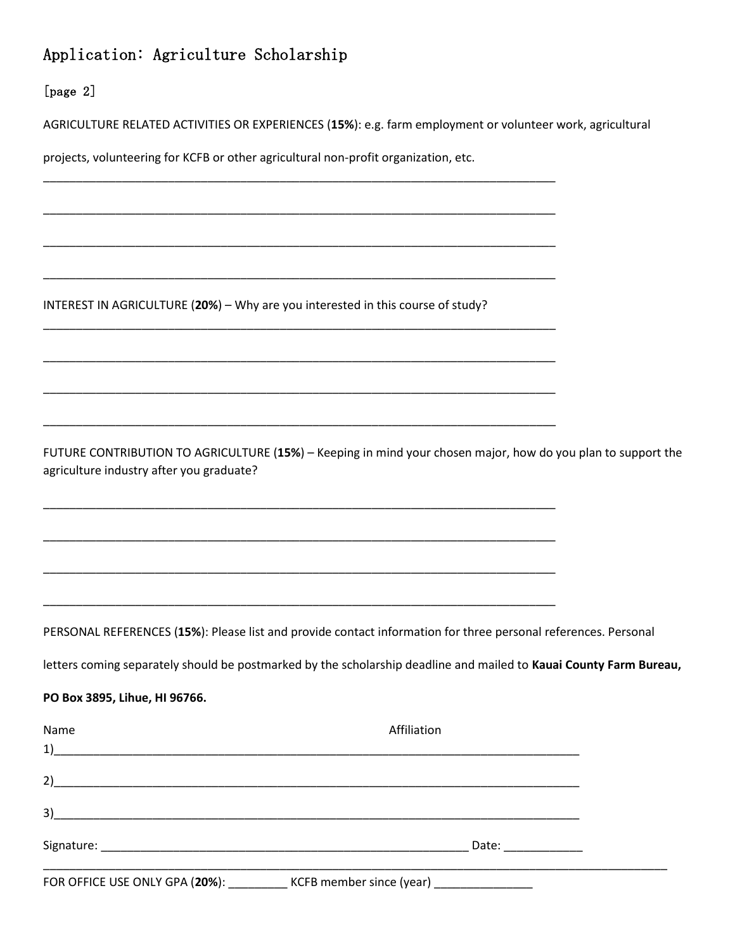## Application: Agriculture Scholarship

#### [page 2]

**PO Box 3895, Lihue, HI 96766.**

AGRICULTURE RELATED ACTIVITIES OR EXPERIENCES (**15%**): e.g. farm employment or volunteer work, agricultural

projects, volunteering for KCFB or other agricultural non-profit organization, etc.

\_\_\_\_\_\_\_\_\_\_\_\_\_\_\_\_\_\_\_\_\_\_\_\_\_\_\_\_\_\_\_\_\_\_\_\_\_\_\_\_\_\_\_\_\_\_\_\_\_\_\_\_\_\_\_\_\_\_\_\_\_\_\_\_\_\_\_\_\_\_\_\_\_\_\_\_\_\_

\_\_\_\_\_\_\_\_\_\_\_\_\_\_\_\_\_\_\_\_\_\_\_\_\_\_\_\_\_\_\_\_\_\_\_\_\_\_\_\_\_\_\_\_\_\_\_\_\_\_\_\_\_\_\_\_\_\_\_\_\_\_\_\_\_\_\_\_\_\_\_\_\_\_\_\_\_\_

\_\_\_\_\_\_\_\_\_\_\_\_\_\_\_\_\_\_\_\_\_\_\_\_\_\_\_\_\_\_\_\_\_\_\_\_\_\_\_\_\_\_\_\_\_\_\_\_\_\_\_\_\_\_\_\_\_\_\_\_\_\_\_\_\_\_\_\_\_\_\_\_\_\_\_\_\_\_

\_\_\_\_\_\_\_\_\_\_\_\_\_\_\_\_\_\_\_\_\_\_\_\_\_\_\_\_\_\_\_\_\_\_\_\_\_\_\_\_\_\_\_\_\_\_\_\_\_\_\_\_\_\_\_\_\_\_\_\_\_\_\_\_\_\_\_\_\_\_\_\_\_\_\_\_\_\_

\_\_\_\_\_\_\_\_\_\_\_\_\_\_\_\_\_\_\_\_\_\_\_\_\_\_\_\_\_\_\_\_\_\_\_\_\_\_\_\_\_\_\_\_\_\_\_\_\_\_\_\_\_\_\_\_\_\_\_\_\_\_\_\_\_\_\_\_\_\_\_\_\_\_\_\_\_\_

\_\_\_\_\_\_\_\_\_\_\_\_\_\_\_\_\_\_\_\_\_\_\_\_\_\_\_\_\_\_\_\_\_\_\_\_\_\_\_\_\_\_\_\_\_\_\_\_\_\_\_\_\_\_\_\_\_\_\_\_\_\_\_\_\_\_\_\_\_\_\_\_\_\_\_\_\_\_

\_\_\_\_\_\_\_\_\_\_\_\_\_\_\_\_\_\_\_\_\_\_\_\_\_\_\_\_\_\_\_\_\_\_\_\_\_\_\_\_\_\_\_\_\_\_\_\_\_\_\_\_\_\_\_\_\_\_\_\_\_\_\_\_\_\_\_\_\_\_\_\_\_\_\_\_\_\_

\_\_\_\_\_\_\_\_\_\_\_\_\_\_\_\_\_\_\_\_\_\_\_\_\_\_\_\_\_\_\_\_\_\_\_\_\_\_\_\_\_\_\_\_\_\_\_\_\_\_\_\_\_\_\_\_\_\_\_\_\_\_\_\_\_\_\_\_\_\_\_\_\_\_\_\_\_\_

\_\_\_\_\_\_\_\_\_\_\_\_\_\_\_\_\_\_\_\_\_\_\_\_\_\_\_\_\_\_\_\_\_\_\_\_\_\_\_\_\_\_\_\_\_\_\_\_\_\_\_\_\_\_\_\_\_\_\_\_\_\_\_\_\_\_\_\_\_\_\_\_\_\_\_\_\_\_

\_\_\_\_\_\_\_\_\_\_\_\_\_\_\_\_\_\_\_\_\_\_\_\_\_\_\_\_\_\_\_\_\_\_\_\_\_\_\_\_\_\_\_\_\_\_\_\_\_\_\_\_\_\_\_\_\_\_\_\_\_\_\_\_\_\_\_\_\_\_\_\_\_\_\_\_\_\_

\_\_\_\_\_\_\_\_\_\_\_\_\_\_\_\_\_\_\_\_\_\_\_\_\_\_\_\_\_\_\_\_\_\_\_\_\_\_\_\_\_\_\_\_\_\_\_\_\_\_\_\_\_\_\_\_\_\_\_\_\_\_\_\_\_\_\_\_\_\_\_\_\_\_\_\_\_\_

\_\_\_\_\_\_\_\_\_\_\_\_\_\_\_\_\_\_\_\_\_\_\_\_\_\_\_\_\_\_\_\_\_\_\_\_\_\_\_\_\_\_\_\_\_\_\_\_\_\_\_\_\_\_\_\_\_\_\_\_\_\_\_\_\_\_\_\_\_\_\_\_\_\_\_\_\_\_

INTEREST IN AGRICULTURE (**20%**) – Why are you interested in this course of study?

FUTURE CONTRIBUTION TO AGRICULTURE (**15%**) – Keeping in mind your chosen major, how do you plan to support the agriculture industry after you graduate?

PERSONAL REFERENCES (**15%**): Please list and provide contact information for three personal references. Personal

letters coming separately should be postmarked by the scholarship deadline and mailed to **Kauai County Farm Bureau,**

| Name<br>1)<br><u> 1990 - Johann John Harry Harry Harry Harry Harry Harry Harry Harry Harry Harry Harry Harry Harry Harry Harry</u> | Affiliation            |  |
|------------------------------------------------------------------------------------------------------------------------------------|------------------------|--|
| 2)                                                                                                                                 |                        |  |
| 3)<br><u> 1980 - Johann Stoff, deutscher Stoff, der Stoff, der Stoff, der Stoff, der Stoff, der Stoff, der Stoff, der S</u>        |                        |  |
|                                                                                                                                    | Date: <b>and Date:</b> |  |
| FOR OFFICE USE ONLY GPA (20%): ____________ KCFB member since (year) ____________                                                  |                        |  |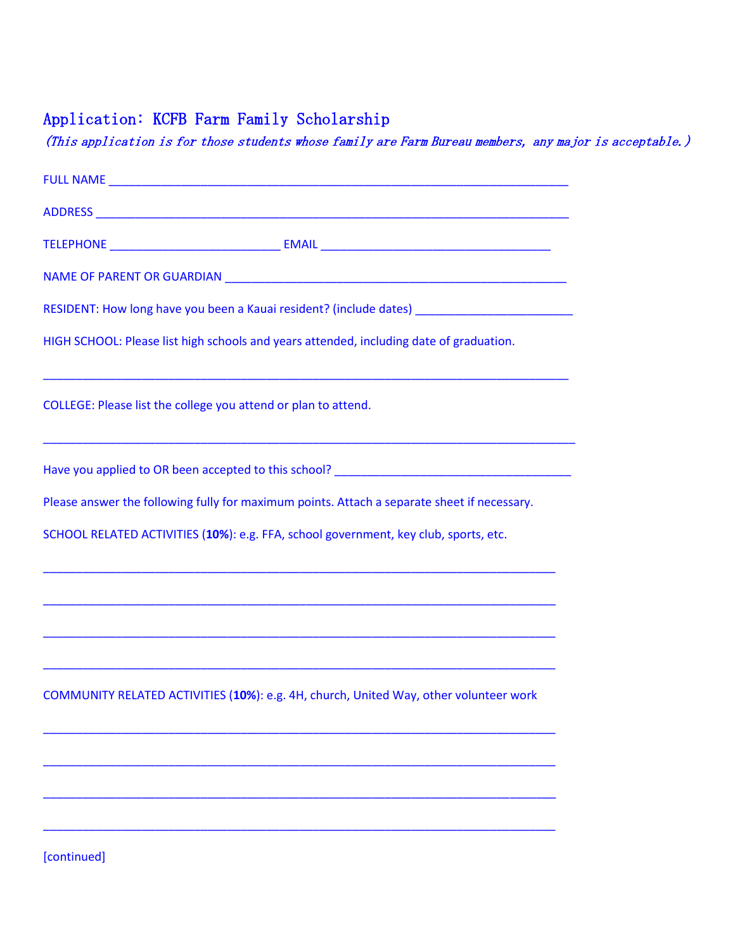## Application: KCFB Farm Family Scholarship

(This application is for those students whose family are Farm Bureau members, any major is acceptable.)

| RESIDENT: How long have you been a Kauai resident? (include dates) ________________________________ |
|-----------------------------------------------------------------------------------------------------|
| HIGH SCHOOL: Please list high schools and years attended, including date of graduation.             |
| COLLEGE: Please list the college you attend or plan to attend.                                      |
| ,我们也不能在这里,我们也不能在这里的时候,我们也不能会在这里,我们也不能会在这里,我们也不能会在这里的时候,我们也不能会在这里,我们也不能会不能会不能会不能会                    |
| Please answer the following fully for maximum points. Attach a separate sheet if necessary.         |
| SCHOOL RELATED ACTIVITIES (10%): e.g. FFA, school government, key club, sports, etc.                |
| ,我们也不能在这里的时候,我们也不能会在这里,我们也不能会在这里的时候,我们也不能会在这里的时候,我们也不能会在这里的时候,我们也不能会在这里的时候,我们也不能                    |
| COMMUNITY RELATED ACTIVITIES (10%): e.g. 4H, church, United Way, other volunteer work               |
|                                                                                                     |
| [continued]                                                                                         |